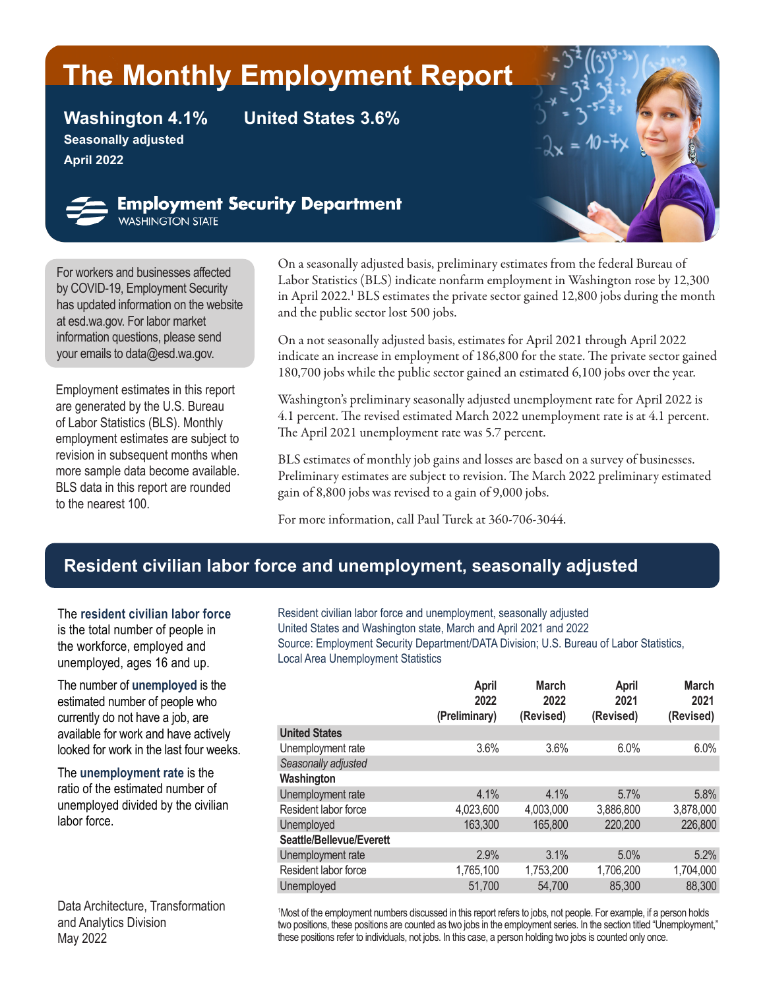# **The Monthly Employment Report**

**Seasonally adjusted April 2022**

**Washington 4.1% United States 3.6%**



**Employment Security Department**<br>WASHINGTON STATE

For workers and businesses affected by [COVID-19,](https://esd.wa.gov/newsroom/covid-19) Employment Security has updated information on the website at esd.wa.gov. For labor market information questions, please send your emails to dat[a@esd.wa.gov](mailto:data%40esd.wa.gov?subject=data%40esd.wa.gov).

Employment estimates in this report are generated by the U.S. Bureau of Labor Statistics (BLS). Monthly employment estimates are subject to revision in subsequent months when more sample data become available. BLS data in this report are rounded to the nearest 100.

On a seasonally adjusted basis, preliminary estimates from the federal Bureau of Labor Statistics (BLS) indicate nonfarm employment in Washington rose by 12,300 in April 2022.<sup>1</sup> BLS estimates the private sector gained 12,800 jobs during the month and the public sector lost 500 jobs.

On a not seasonally adjusted basis, estimates for April 2021 through April 2022 indicate an increase in employment of 186,800 for the state. The private sector gained 180,700 jobs while the public sector gained an estimated 6,100 jobs over the year.

Washington's preliminary seasonally adjusted unemployment rate for April 2022 is 4.1 percent. The revised estimated March 2022 unemployment rate is at 4.1 percent. The April 2021 unemployment rate was 5.7 percent.

BLS estimates of monthly job gains and losses are based on a survey of businesses. Preliminary estimates are subject to revision. The March 2022 preliminary estimated gain of 8,800 jobs was revised to a gain of 9,000 jobs.

For more information, call Paul Turek at 360-706-3044.

# **Resident civilian labor force and unemployment, seasonally adjusted**

The **resident civilian labor force** is the total number of people in the workforce, employed and unemployed, ages 16 and up.

The number of **unemployed** is the estimated number of people who currently do not have a job, are available for work and have actively looked for work in the last four weeks.

The **unemployment rate** is the ratio of the estimated number of unemployed divided by the civilian labor force.

Data Architecture, Transformation and Analytics Division May 2022

Resident civilian labor force and unemployment, seasonally adjusted United States and Washington state, March and April 2021 and 2022 Source: Employment Security Department/DATA Division; U.S. Bureau of Labor Statistics, Local Area Unemployment Statistics

|                          | <b>April</b><br>2022<br>(Preliminary) | <b>March</b><br>2022<br>(Revised) | <b>April</b><br>2021<br>(Revised) | <b>March</b><br>2021<br>(Revised) |
|--------------------------|---------------------------------------|-----------------------------------|-----------------------------------|-----------------------------------|
| <b>United States</b>     |                                       |                                   |                                   |                                   |
| Unemployment rate        | 3.6%                                  | 3.6%                              | 6.0%                              | 6.0%                              |
| Seasonally adjusted      |                                       |                                   |                                   |                                   |
| Washington               |                                       |                                   |                                   |                                   |
| Unemployment rate        | 4.1%                                  | 4.1%                              | 5.7%                              | 5.8%                              |
| Resident labor force     | 4,023,600                             | 4,003,000                         | 3,886,800                         | 3,878,000                         |
| Unemployed               | 163,300                               | 165,800                           | 220,200                           | 226,800                           |
| Seattle/Bellevue/Everett |                                       |                                   |                                   |                                   |
| Unemployment rate        | 2.9%                                  | 3.1%                              | 5.0%                              | 5.2%                              |
| Resident labor force     | 1,765,100                             | 1,753,200                         | 1,706,200                         | 1,704,000                         |
| Unemployed               | 51,700                                | 54,700                            | 85,300                            | 88,300                            |
|                          |                                       |                                   |                                   |                                   |

1 Most of the employment numbers discussed in this report refers to jobs, not people. For example, if a person holds two positions, these positions are counted as two jobs in the employment series. In the section titled "Unemployment," these positions refer to individuals, not jobs. In this case, a person holding two jobs is counted only once.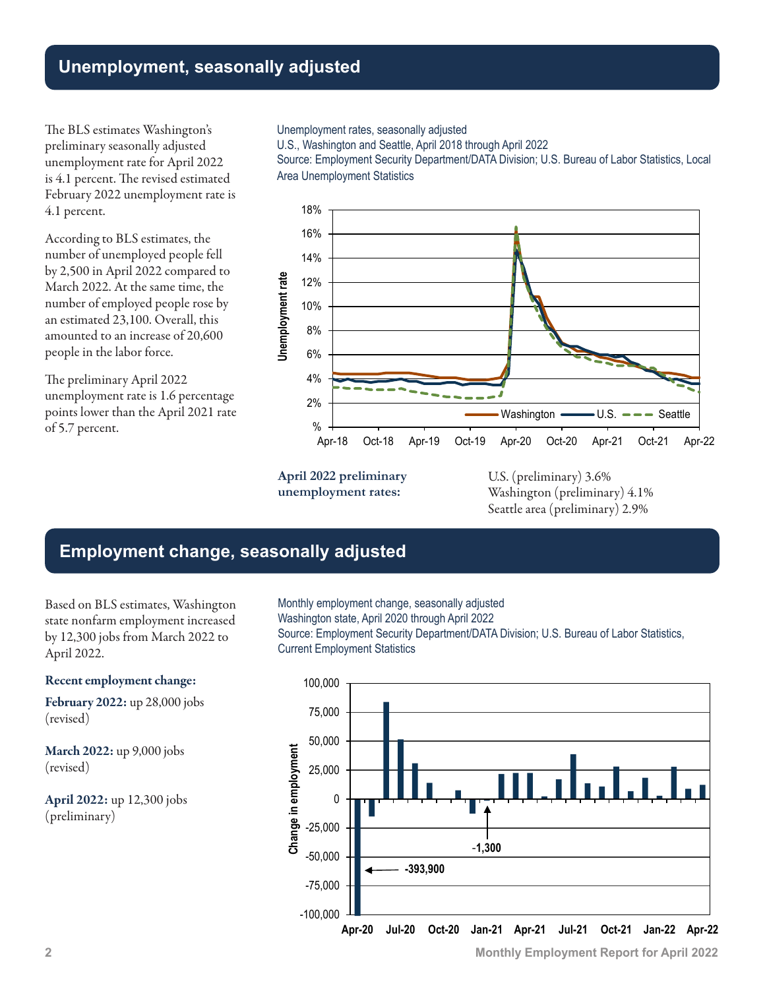## **Unemployment, seasonally adjusted**

The BLS estimates Washington's preliminary seasonally adjusted unemployment rate for April 2022 is 4.1 percent. The revised estimated February 2022 unemployment rate is 4.1 percent.

According to BLS estimates, the number of unemployed people fell by 2,500 in April 2022 compared to March 2022. At the same time, the number of employed people rose by an estimated 23,100. Overall, this amounted to an increase of 20,600 people in the labor force.

The preliminary April 2022 unemployment rate is 1.6 percentage points lower than the April 2021 rate of 5.7 percent.

#### Unemployment rates, seasonally adjusted

U.S., Washington and Seattle, April 2018 through April 2022

Source: Employment Security Department/DATA Division; U.S. Bureau of Labor Statistics, Local Area Unemployment Statistics



**April 2022 preliminary unemployment rates:**

U.S. (preliminary) 3.6% Washington (preliminary) 4.1% Seattle area (preliminary) 2.9%

### **Employment change, seasonally adjusted**

Based on BLS estimates, Washington state nonfarm employment increased by 12,300 jobs from March 2022 to April 2022.

#### Recent employment change:

February 2022: up 28,000 jobs (revised)

March 2022: up 9,000 jobs (revised)

April 2022: up 12,300 jobs (preliminary)

Monthly employment change, seasonally adjusted Washington state, April 2020 through April 2022 Source: Employment Security Department/DATA Division; U.S. Bureau of Labor Statistics, Current Employment Statistics

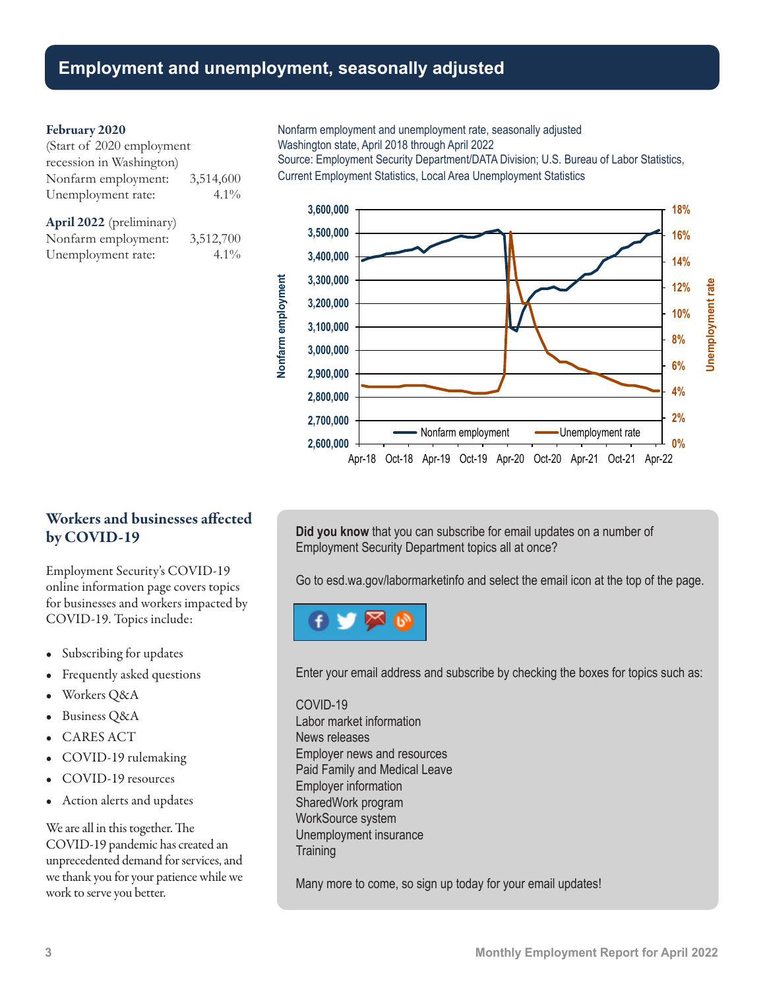### **Employment and unemployment, seasonally adjusted**

#### February 2020

| (Start of 2020 employment |           |
|---------------------------|-----------|
| recession in Washington)  |           |
| Nonfarm employment:       | 3,514,600 |
| Unemployment rate:        | $4.1\%$   |

April 2022 (preliminary) Nonfarm employment: 3,512,700 Unemployment rate: 4.1%

Nonfarm employment and unemployment rate, seasonally adjusted Washington state, April 2018 through April 2022

Source: Employment Security Department/DATA Division; U.S. Bureau of Labor Statistics, Current Employment Statistics, Local Area Unemployment Statistics



### Workers and businesses affected by COVID-19

Employment Security's COVID-19 online information page covers topics for businesses and workers impacted by COVID-19. Topics include:

- Subscribing for updates
- Frequently asked questions
- Workers Q&A
- Business Q&A
- CARES ACT
- COVID-19 rulemaking
- COVID-19 resources
- Action alerts and updates

We are all in this together. The COVID-19 pandemic has created an unprecedented demand for services, and we thank you for your patience while we work to serve you better.

**Did you know** that you can subscribe for email updates on a number of Employment Security Department topics all at once?

Go to [esd.wa.gov/labormarketinfo](http://esd.wa.gov/labormarketinfo) and select the email icon at the top of the page.



Enter your email address and subscribe by checking the boxes for topics such as:

#### COVID-19

Labor market information News releases Employer news and resources Paid Family and Medical Leave Employer information SharedWork program WorkSource system Unemployment insurance **Training** 

Many more to come, so sign up today for your email updates!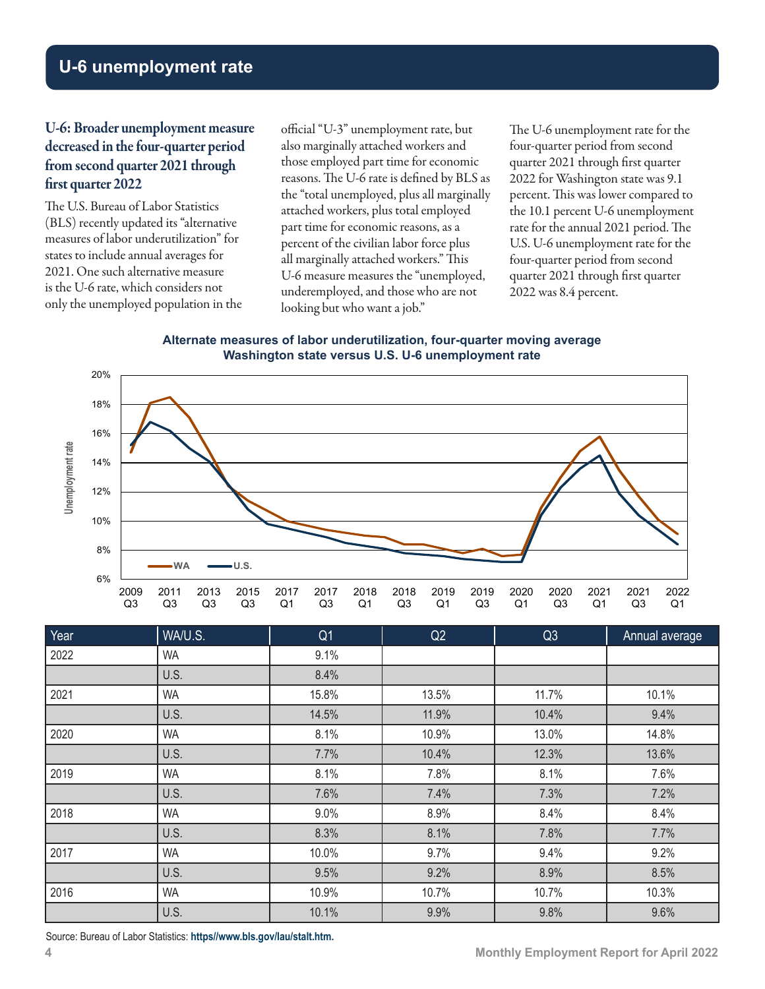# **U-6 unemployment rate**

### U-6: Broader unemployment measure decreased in the four-quarter period from second quarter 2021 through first quarter 2022

The U.S. Bureau of Labor Statistics (BLS) recently updated its "alternative measures of labor underutilization" for states to include annual averages for 2021. One such alternative measure is the U-6 rate, which considers not only the unemployed population in the official "U-3" unemployment rate, but also marginally attached workers and those employed part time for economic reasons. The U-6 rate is defined by BLS as the "total unemployed, plus all marginally attached workers, plus total employed part time for economic reasons, as a percent of the civilian labor force plus all marginally attached workers." This U-6 measure measures the "unemployed, underemployed, and those who are not looking but who want a job."

The U-6 unemployment rate for the four-quarter period from second quarter 2021 through first quarter 2022 for Washington state was 9.1 percent. This was lower compared to the 10.1 percent U-6 unemployment rate for the annual 2021 period. The U.S. U-6 unemployment rate for the four-quarter period from second quarter 2021 through first quarter 2022 was 8.4 percent.

**Alternate measures of labor underutilization, four-quarter moving average Washington state versus U.S. U-6 unemployment rate**



| Year | WA/U.S.   | Q <sub>1</sub> | Q2    | Q3    | Annual average |
|------|-----------|----------------|-------|-------|----------------|
| 2022 | <b>WA</b> | 9.1%           |       |       |                |
|      | U.S.      | 8.4%           |       |       |                |
| 2021 | <b>WA</b> | 15.8%          | 13.5% | 11.7% | 10.1%          |
|      | U.S.      | 14.5%          | 11.9% | 10.4% | 9.4%           |
| 2020 | <b>WA</b> | 8.1%           | 10.9% | 13.0% | 14.8%          |
|      | U.S.      | 7.7%           | 10.4% | 12.3% | 13.6%          |
| 2019 | <b>WA</b> | 8.1%           | 7.8%  | 8.1%  | 7.6%           |
|      | U.S.      | 7.6%           | 7.4%  | 7.3%  | 7.2%           |
| 2018 | <b>WA</b> | 9.0%           | 8.9%  | 8.4%  | 8.4%           |
|      | U.S.      | 8.3%           | 8.1%  | 7.8%  | 7.7%           |
| 2017 | <b>WA</b> | 10.0%          | 9.7%  | 9.4%  | 9.2%           |
|      | U.S.      | 9.5%           | 9.2%  | 8.9%  | 8.5%           |
| 2016 | <b>WA</b> | 10.9%          | 10.7% | 10.7% | 10.3%          |
|      | U.S.      | 10.1%          | 9.9%  | 9.8%  | 9.6%           |

Source: Bureau of Labor Statistics: **[https//www.bls.gov/lau/stalt.htm](https://www.bls.gov/lau/stalt.htm).**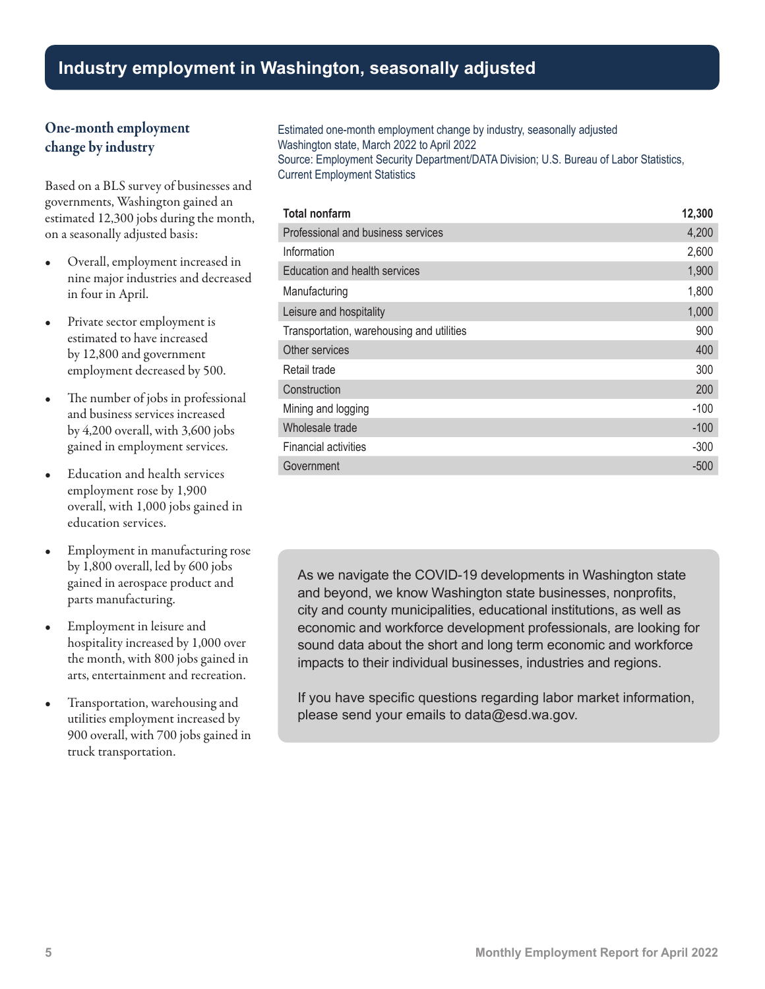# **Industry employment in Washington, seasonally adjusted**

### One-month employment change by industry

Based on a BLS survey of businesses and governments, Washington gained an estimated 12,300 jobs during the month, on a seasonally adjusted basis:

- Overall, employment increased in nine major industries and decreased in four in April.
- Private sector employment is estimated to have increased by 12,800 and government employment decreased by 500.
- The number of jobs in professional and business services increased by 4,200 overall, with 3,600 jobs gained in employment services.
- Education and health services employment rose by 1,900 overall, with 1,000 jobs gained in education services.
- Employment in manufacturing rose by 1,800 overall, led by 600 jobs gained in aerospace product and parts manufacturing.
- Employment in leisure and hospitality increased by 1,000 over the month, with 800 jobs gained in arts, entertainment and recreation.
- Transportation, warehousing and utilities employment increased by 900 overall, with 700 jobs gained in truck transportation.

Estimated one-month employment change by industry, seasonally adjusted Washington state, March 2022 to April 2022 Source: Employment Security Department/DATA Division; U.S. Bureau of Labor Statistics, Current Employment Statistics

| <b>Total nonfarm</b>                      | 12,300 |
|-------------------------------------------|--------|
| Professional and business services        | 4,200  |
| Information                               | 2,600  |
| Education and health services             | 1,900  |
| Manufacturing                             | 1,800  |
| Leisure and hospitality                   | 1,000  |
| Transportation, warehousing and utilities | 900    |
| Other services                            | 400    |
| Retail trade                              | 300    |
| Construction                              | 200    |
| Mining and logging                        | $-100$ |
| Wholesale trade                           | $-100$ |
| <b>Financial activities</b>               | $-300$ |
| Government                                | $-500$ |

As we navigate the COVID-19 developments in Washington state and beyond, we know Washington state businesses, nonprofits, city and county municipalities, educational institutions, as well as economic and workforce development professionals, are looking for sound data about the short and long term economic and workforce impacts to their individual businesses, industries and regions.

If you have specific questions regarding labor market information, please send your emails t[o data@esd.wa.gov.](mailto:data%40esd.wa.gov?subject=data%40esd.wa.gov)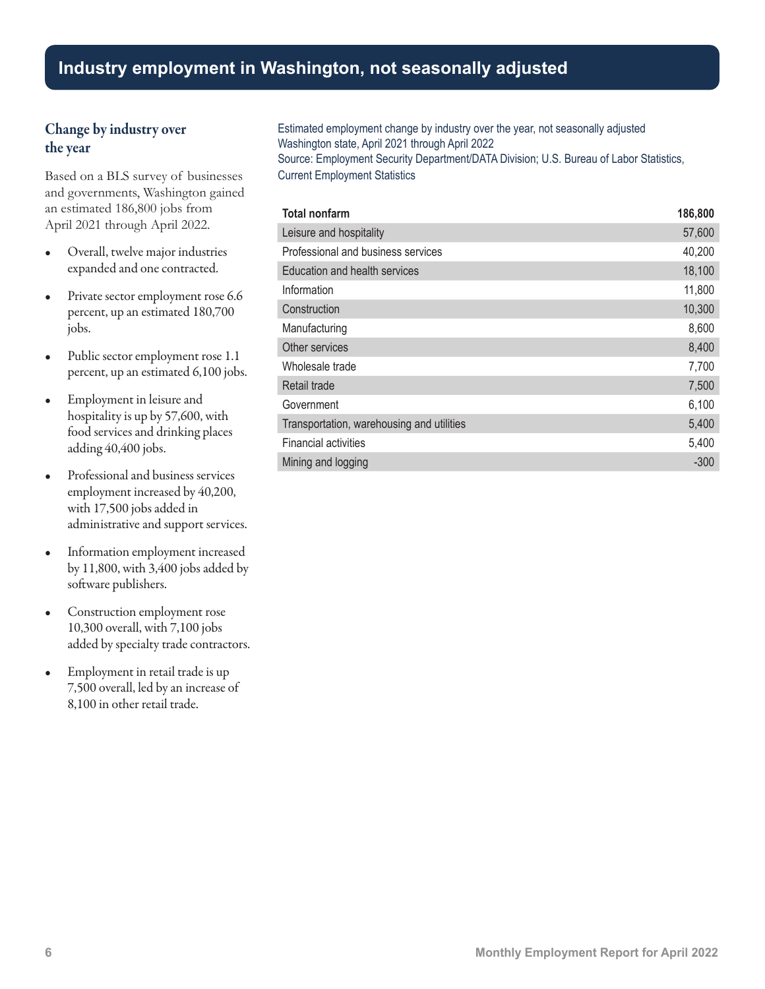### Change by industry over the year

Based on a BLS survey of businesses and governments, Washington gained an estimated 186,800 jobs from April 2021 through April 2022.

- Overall, twelve major industries expanded and one contracted.
- Private sector employment rose 6.6 percent, up an estimated 180,700 jobs.
- Public sector employment rose 1.1 percent, up an estimated 6,100 jobs.
- Employment in leisure and hospitality is up by 57,600, with food services and drinking places adding 40,400 jobs.
- Professional and business services employment increased by 40,200, with 17,500 jobs added in administrative and support services.
- Information employment increased by 11,800, with 3,400 jobs added by software publishers.
- Construction employment rose 10,300 overall, with 7,100 jobs added by specialty trade contractors.
- Employment in retail trade is up 7,500 overall, led by an increase of 8,100 in other retail trade.

Estimated employment change by industry over the year, not seasonally adjusted Washington state, April 2021 through April 2022 Source: Employment Security Department/DATA Division; U.S. Bureau of Labor Statistics, Current Employment Statistics

| <b>Total nonfarm</b>                      | 186,800 |
|-------------------------------------------|---------|
| Leisure and hospitality                   | 57,600  |
| Professional and business services        | 40,200  |
| Education and health services             | 18,100  |
| Information                               | 11,800  |
| Construction                              | 10,300  |
| Manufacturing                             | 8,600   |
| Other services                            | 8,400   |
| Wholesale trade                           | 7,700   |
| Retail trade                              | 7,500   |
| Government                                | 6,100   |
| Transportation, warehousing and utilities | 5,400   |
| <b>Financial activities</b>               | 5,400   |
| Mining and logging                        | $-300$  |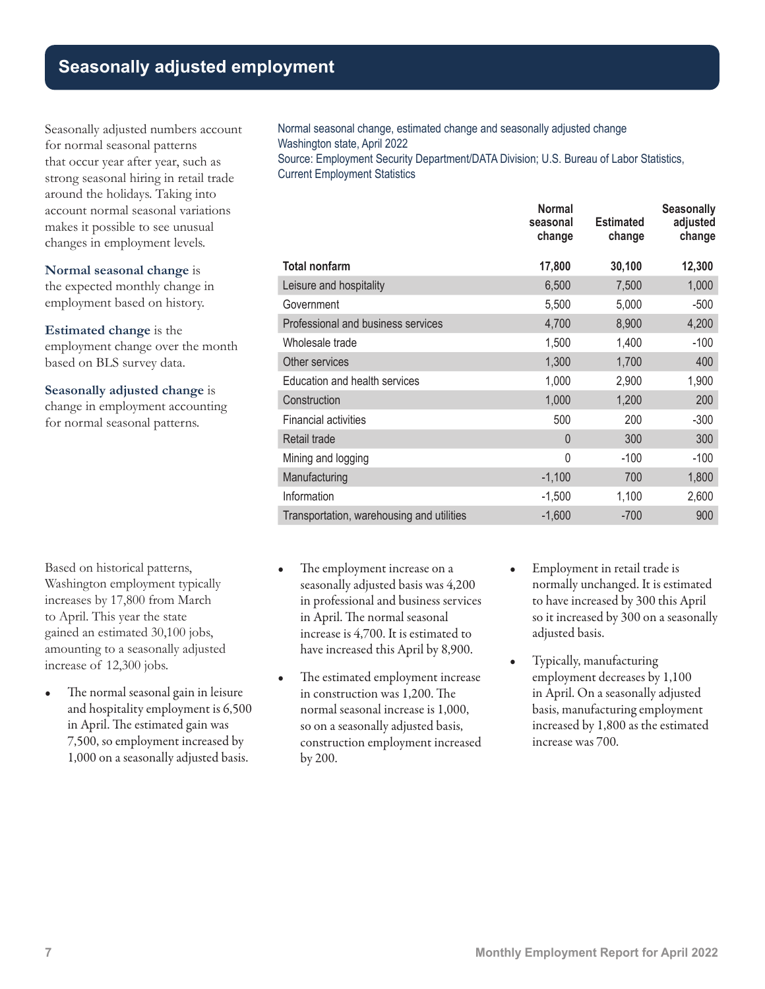# **Seasonally adjusted employment**

Seasonally adjusted numbers account for normal seasonal patterns that occur year after year, such as strong seasonal hiring in retail trade around the holidays. Taking into account normal seasonal variations makes it possible to see unusual changes in employment levels.

#### **Normal seasonal change** is

the expected monthly change in employment based on history.

**Estimated change** is the employment change over the month based on BLS survey data.

#### **Seasonally adjusted change** is

change in employment accounting for normal seasonal patterns.

Based on historical patterns, Washington employment typically increases by 17,800 from March to April. This year the state gained an estimated 30,100 jobs, amounting to a seasonally adjusted increase of 12,300 jobs.

The normal seasonal gain in leisure and hospitality employment is 6,500 in April. The estimated gain was 7,500, so employment increased by 1,000 on a seasonally adjusted basis.

Normal seasonal change, estimated change and seasonally adjusted change Washington state, April 2022

Source: Employment Security Department/DATA Division; U.S. Bureau of Labor Statistics, Current Employment Statistics

|                                           | <b>Normal</b><br>seasonal<br>change | <b>Estimated</b><br>change | <b>Seasonally</b><br>adjusted<br>change |
|-------------------------------------------|-------------------------------------|----------------------------|-----------------------------------------|
| <b>Total nonfarm</b>                      | 17,800                              | 30,100                     | 12,300                                  |
| Leisure and hospitality                   | 6,500                               | 7,500                      | 1,000                                   |
| Government                                | 5,500                               | 5,000                      | $-500$                                  |
| Professional and business services        | 4,700                               | 8,900                      | 4,200                                   |
| Wholesale trade                           | 1,500                               | 1,400                      | $-100$                                  |
| Other services                            | 1,300                               | 1,700                      | 400                                     |
| Education and health services             | 1,000                               | 2,900                      | 1,900                                   |
| Construction                              | 1,000                               | 1,200                      | 200                                     |
| <b>Financial activities</b>               | 500                                 | 200                        | $-300$                                  |
| Retail trade                              | $\overline{0}$                      | 300                        | 300                                     |
| Mining and logging                        | 0                                   | $-100$                     | $-100$                                  |
| Manufacturing                             | $-1,100$                            | 700                        | 1,800                                   |
| Information                               | $-1,500$                            | 1,100                      | 2,600                                   |
| Transportation, warehousing and utilities | $-1,600$                            | $-700$                     | 900                                     |

- The employment increase on a seasonally adjusted basis was 4,200 in professional and business services in April. The normal seasonal increase is 4,700. It is estimated to have increased this April by 8,900.
- The estimated employment increase in construction was 1,200. The normal seasonal increase is 1,000, so on a seasonally adjusted basis, construction employment increased by 200.
- Employment in retail trade is normally unchanged. It is estimated to have increased by 300 this April so it increased by 300 on a seasonally adjusted basis.
- Typically, manufacturing employment decreases by 1,100 in April. On a seasonally adjusted basis, manufacturing employment increased by 1,800 as the estimated increase was 700.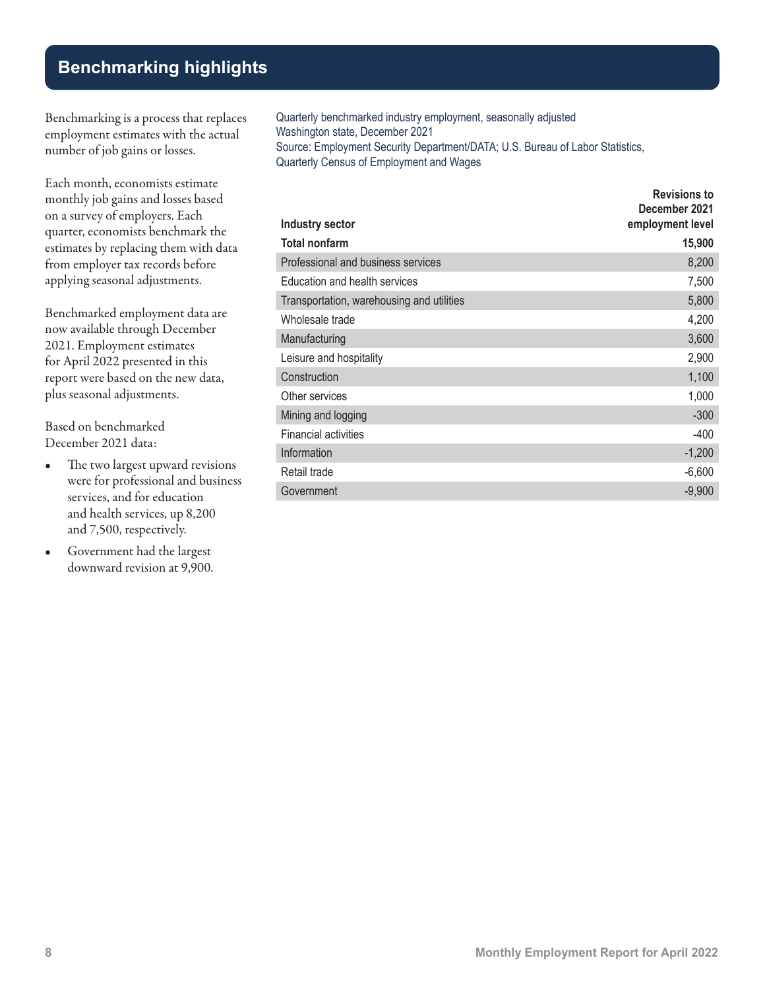## **Benchmarking highlights**

Benchmarking is a process that replaces employment estimates with the actual number of job gains or losses.

Each month, economists estimate monthly job gains and losses based on a survey of employers. Each quarter, economists benchmark the estimates by replacing them with data from employer tax records before applying seasonal adjustments.

Benchmarked employment data are now available through December 2021. Employment estimates for April 2022 presented in this report were based on the new data, plus seasonal adjustments.

Based on benchmarked December 2021 data:

- The two largest upward revisions were for professional and business services, and for education and health services, up 8,200 and 7,500, respectively.
- Government had the largest downward revision at 9,900.

Quarterly benchmarked industry employment, seasonally adjusted Washington state, December 2021 Source: Employment Security Department/DATA; U.S. Bureau of Labor Statistics, Quarterly Census of Employment and Wages

| <b>Industry sector</b>                    | <b>Revisions to</b><br>December 2021<br>employment level |
|-------------------------------------------|----------------------------------------------------------|
| Total nonfarm                             | 15,900                                                   |
| Professional and business services        | 8,200                                                    |
| Education and health services             | 7,500                                                    |
| Transportation, warehousing and utilities | 5,800                                                    |
| Wholesale trade                           | 4,200                                                    |
| Manufacturing                             | 3,600                                                    |
| Leisure and hospitality                   | 2,900                                                    |
| Construction                              | 1,100                                                    |
| Other services                            | 1,000                                                    |
| Mining and logging                        | $-300$                                                   |
| <b>Financial activities</b>               | $-400$                                                   |
| Information                               | $-1,200$                                                 |
| Retail trade                              | $-6,600$                                                 |
| Government                                | $-9,900$                                                 |